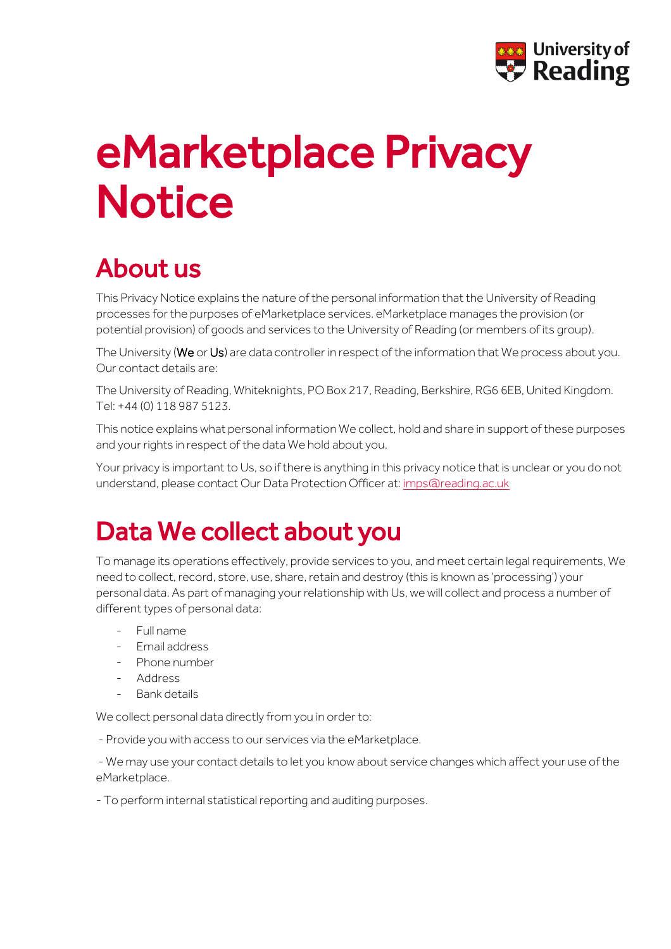

# eMarketplace Privacy **Notice**

# About us

This Privacy Notice explains the nature of the personal information that the University of Reading processes for the purposes of eMarketplace services. eMarketplace manages the provision (or potential provision) of goods and services to the University of Reading (or members of its group).

The University (We or Us) are data controller in respect of the information that We process about you. Our contact details are:

The University of Reading, Whiteknights, PO Box 217, Reading, Berkshire, RG6 6EB, United Kingdom. Tel: +44 (0) 118 987 5123.

This notice explains what personal information We collect, hold and share in support of these purposes and your rights in respect of the data We hold about you.

Your privacy is important to Us, so if there is anything in this privacy notice that is unclear or you do not understand, please contact Our Data Protection Officer at[: imps@reading.ac.uk](mailto:imps@reading.ac.uk)

## Data We collect about you

To manage its operations effectively, provide services to you, and meet certain legal requirements, We need to collect, record, store, use, share, retain and destroy (this is known as 'processing') your personal data. As part of managing your relationship with Us, we will collect and process a number of different types of personal data:

- Full name
- Email address
- Phone number
- Address
- Bank details

We collect personal data directly from you in order to:

- Provide you with access to our services via the eMarketplace.

- We may use your contact details to let you know about service changes which affect your use of the eMarketplace.

- To perform internal statistical reporting and auditing purposes.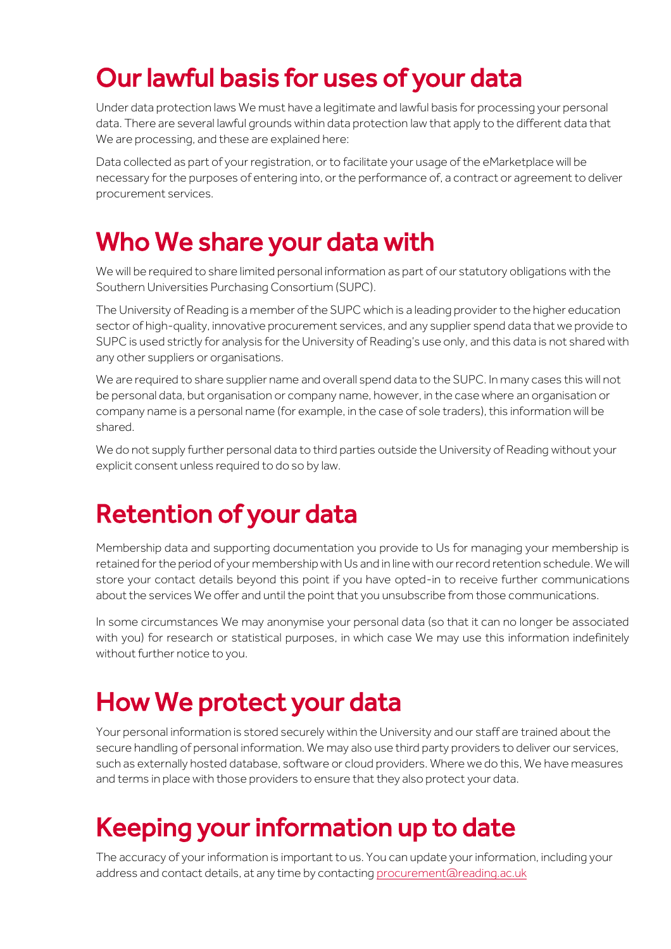## Our lawful basis for uses of your data

Under data protection laws We must have a legitimate and lawful basis for processing your personal data. There are several lawful grounds within data protection law that apply to the different data that We are processing, and these are explained here:

Data collected as part of your registration, or to facilitate your usage of the eMarketplace will be necessary for the purposes of entering into, or the performance of, a contract or agreement to deliver procurement services.

#### Who We share your data with

We will be required to share limited personal information as part of our statutory obligations with the Southern Universities Purchasing Consortium (SUPC).

The University of Reading is a member of the SUPC which is a leading provider to the higher education sector of high-quality, innovative procurement services, and any supplier spend data that we provide to SUPC is used strictly for analysis for the University of Reading's use only, and this data is not shared with any other suppliers or organisations.

We are required to share supplier name and overall spend data to the SUPC. In many cases this will not be personal data, but organisation or company name, however, in the case where an organisation or company name is a personal name (for example, in the case of sole traders), this information will be shared.

We do not supply further personal data to third parties outside the University of Reading without your explicit consent unless required to do so by law.

## Retention of your data

Membership data and supporting documentation you provide to Us for managing your membership is retained for the period of your membership with Us and in line with our record retention schedule. We will store your contact details beyond this point if you have opted-in to receive further communications about the services We offer and until the point that you unsubscribe from those communications.

In some circumstances We may anonymise your personal data (so that it can no longer be associated with you) for research or statistical purposes, in which case We may use this information indefinitely without further notice to you.

#### How We protect your data

Your personal information is stored securely within the University and our staff are trained about the secure handling of personal information. We may also use third party providers to deliver our services, such as externally hosted database, software or cloud providers. Where we do this, We have measures and terms in place with those providers to ensure that they also protect your data.

## Keeping your information up to date

The accuracy of your information is important to us. You can update your information, including your address and contact details, at any time by contacting [procurement@reading.ac.uk](mailto:procurement@reading.ac.uk)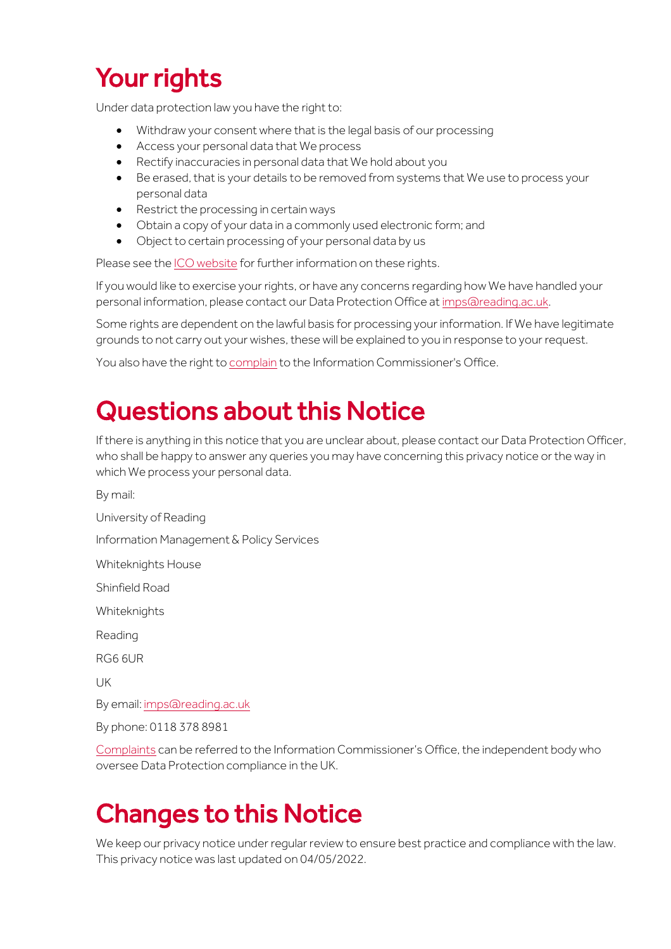# Your rights

Under data protection law you have the right to:

- Withdraw your consent where that is the legal basis of our processing
- Access your personal data that We process
- Rectify inaccuracies in personal data that We hold about you
- Be erased, that is your details to be removed from systems that We use to process your personal data
- Restrict the processing in certain ways
- Obtain a copy of your data in a commonly used electronic form; and
- Object to certain processing of your personal data by us

Please see th[e ICO website](https://ico.org.uk/for-organisations/guide-to-data-protection/guide-to-the-general-data-protection-regulation-gdpr/individual-rights/) for further information on these rights.

If you would like to exercise your rights, or have any concerns regarding how We have handled your personal information, please contact our Data Protection Office a[t imps@reading.ac.uk.](mailto:imps@reading.ac.uk)

Some rights are dependent on the lawful basis for processing your information. If We have legitimate grounds to not carry out your wishes, these will be explained to you in response to your request.

You also have the right t[o complain](https://ico.org.uk/make-a-complaint/) to the Information Commissioner's Office.

#### Questions about this Notice

If there is anything in this notice that you are unclear about, please contact our Data Protection Officer, who shall be happy to answer any queries you may have concerning this privacy notice or the way in which We process your personal data.

By mail:

University of Reading

Information Management & Policy Services

Whiteknights House

Shinfield Road

Whiteknights

Reading

RG6 6UR

UK

By email[: imps@reading.ac.uk](mailto:imps@reading.ac.uk)

By phone: 0118 378 8981

[Complaints](https://ico.org.uk/make-a-complaint/) can be referred to the Information Commissioner's Office, the independent body who oversee Data Protection compliance in the UK.

#### Changes to this Notice

We keep our privacy notice under regular review to ensure best practice and compliance with the law. This privacy notice was last updated on 04/05/2022.